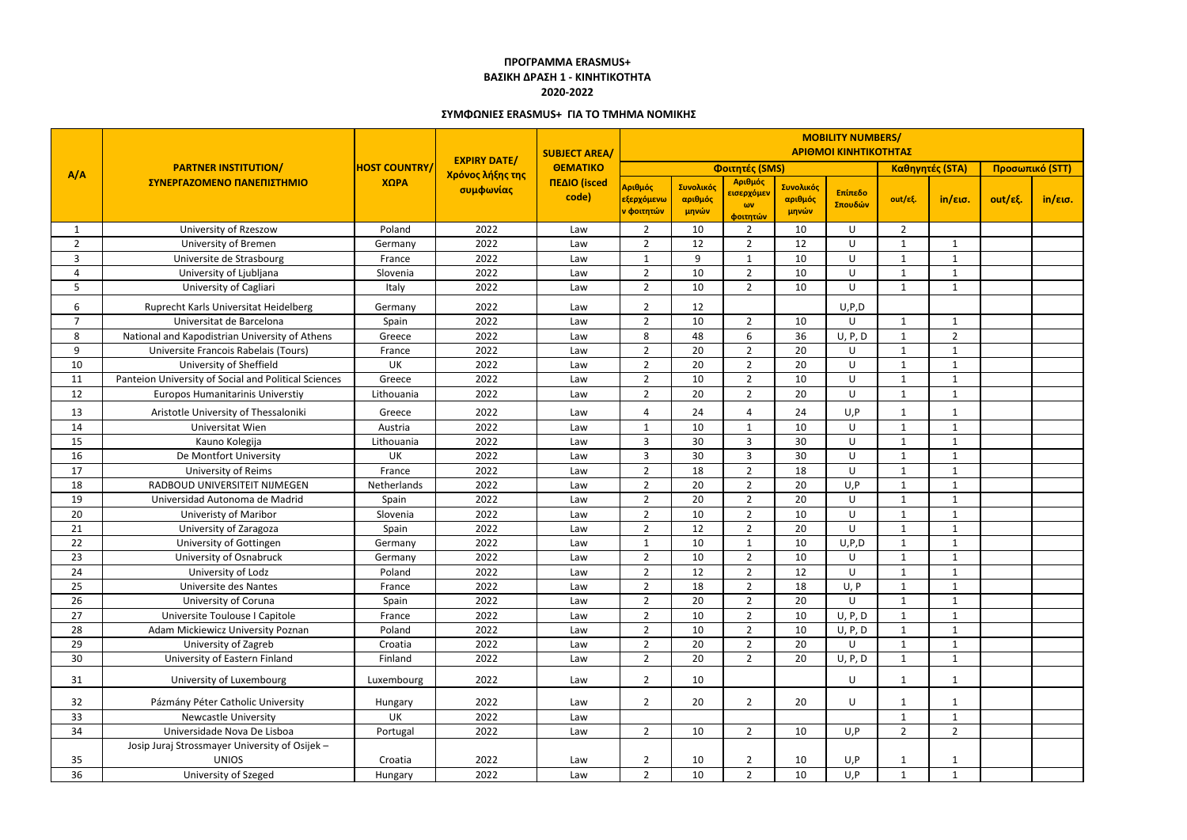|                 | <b>PARTNER INSTITUTION/</b><br>ΣΥΝΕΡΓΑΖΟΜΕΝΟ ΠΑΝΕΠΙΣΤΗΜΙΟ |                              | <b>EXPIRY DATE/</b><br>Χρόνος λήξης της<br>συμφωνίας | <b>SUBJECT AREA/</b><br><b>OEMATIKO</b><br>ΠΕΔΙΟ (isced<br>code) | <b>MOBILITY NUMBERS/</b><br>ΑΡΙΘΜΟΙ ΚΙΝΗΤΙΚΟΤΗΤΑΣ |                               |                                                 |                               |                    |                         |                 |                 |                   |  |
|-----------------|-----------------------------------------------------------|------------------------------|------------------------------------------------------|------------------------------------------------------------------|---------------------------------------------------|-------------------------------|-------------------------------------------------|-------------------------------|--------------------|-------------------------|-----------------|-----------------|-------------------|--|
| A/A             |                                                           | <b>HOST COUNTRY/</b><br>ΧΩΡΑ |                                                      |                                                                  | Φοιτητές (SMS)                                    |                               |                                                 |                               |                    |                         | Καθηγητές (STA) | Προσωπικό (STT) |                   |  |
|                 |                                                           |                              |                                                      |                                                                  | Αριθμός<br><mark>εξερχόμενω</mark><br>ν φοιτητών  | Συνολικός<br>αριθμός<br>μηνών | Αριθμός<br>εισερχόμεν<br>$\omega$ v<br>φοιτητών | Συνολικός<br>αριθμός<br>μηνών | Επίπεδο<br>Σπουδών | out/εξ.                 | in/εισ.         | out/εξ.         | $in/\epsilon$ ισ. |  |
|                 | University of Rzeszow                                     | Poland                       | 2022                                                 | Law                                                              | $\overline{2}$                                    | 10                            | $\overline{2}$                                  | 10                            | U                  | $\overline{2}$          |                 |                 |                   |  |
| $\overline{2}$  | <b>University of Bremen</b>                               | Germany                      | 2022                                                 | Law                                                              | $\overline{2}$                                    | 12                            | $\overline{2}$                                  | 12                            | U                  | -1                      | $\mathbf 1$     |                 |                   |  |
| 3               | Universite de Strasbourg                                  | France                       | 2022                                                 | Law                                                              | 1                                                 | 9                             | $\mathbf{1}$                                    | 10                            | U                  | - 1                     | $\mathbf 1$     |                 |                   |  |
| 4               | University of Ljubljana                                   | Slovenia                     | 2022                                                 | Law                                                              | $\overline{2}$                                    | 10                            | $\overline{2}$                                  | 10                            | U                  | 1                       | $\mathbf 1$     |                 |                   |  |
| 5               | University of Cagliari                                    | Italy                        | 2022                                                 | Law                                                              | $\overline{2}$                                    | 10                            | $\overline{2}$                                  | 10                            | U                  | $\mathbf{1}$            | $\mathbf{1}$    |                 |                   |  |
| 6               | Ruprecht Karls Universitat Heidelberg                     | Germany                      | 2022                                                 | Law                                                              | $\overline{2}$                                    | 12                            |                                                 |                               | U, P, D            |                         |                 |                 |                   |  |
| $\overline{7}$  | Universitat de Barcelona                                  | Spain                        | 2022                                                 | Law                                                              | $\overline{2}$                                    | 10                            | $\overline{2}$                                  | 10                            | U                  | $\mathbf{1}$            | 1               |                 |                   |  |
| 8               | National and Kapodistrian University of Athens            | Greece                       | 2022                                                 | Law                                                              | 8                                                 | 48                            | 6                                               | 36                            | U, P, D            | -1                      | $\overline{2}$  |                 |                   |  |
| 9               | Universite Francois Rabelais (Tours)                      | France                       | 2022                                                 | Law                                                              | $\overline{2}$                                    | 20                            | $\overline{2}$                                  | 20                            | U                  | -1                      | $\mathbf 1$     |                 |                   |  |
| 10              | University of Sheffield                                   | UK                           | 2022                                                 | Law                                                              | $\overline{2}$                                    | 20                            | $\overline{2}$                                  | 20                            | U                  | -1                      | $\mathbf{1}$    |                 |                   |  |
| 11              | Panteion University of Social and Political Sciences      | Greece                       | 2022                                                 | Law                                                              | $\overline{2}$                                    | 10                            | $\overline{2}$                                  | 10                            | U                  | -1                      | $\mathbf{1}$    |                 |                   |  |
| 12              | Europos Humanitarinis Universtiy                          | Lithouania                   | 2022                                                 | Law                                                              | $\overline{2}$                                    | 20                            | $\overline{2}$                                  | 20                            | U                  | -1                      | 1               |                 |                   |  |
| 13              | Aristotle University of Thessaloniki                      | Greece                       | 2022                                                 | Law                                                              | $\overline{4}$                                    | 24                            | $\Delta$                                        | 24                            | U, P               |                         |                 |                 |                   |  |
| 14              | Universitat Wien                                          | Austria                      | 2022                                                 | Law                                                              | 1                                                 | 10                            | $\mathbf{1}$                                    | 10                            | U                  | - 1                     | -1              |                 |                   |  |
| 15              | Kauno Kolegija                                            | Lithouania                   | 2022                                                 | Law                                                              | $\overline{3}$                                    | 30                            | 3                                               | 30                            | U                  | 1                       | $\mathbf 1$     |                 |                   |  |
| 16              | De Montfort University                                    | UK                           | 2022                                                 | Law                                                              | $\overline{3}$                                    | 30                            | 3                                               | 30                            | U                  | - 1                     | $\mathbf{1}$    |                 |                   |  |
| 17              | University of Reims                                       | France                       | 2022                                                 | Law                                                              | $\overline{2}$                                    | 18                            | $\overline{2}$                                  | 18                            | U                  | -1                      | $\mathbf{1}$    |                 |                   |  |
| 18              | RADBOUD UNIVERSITEIT NIJMEGEN                             | Netherlands                  | 2022                                                 | Law                                                              | $\overline{2}$                                    | 20                            | $\overline{2}$                                  | 20                            | U, P               | $\mathbf{1}$            | $\mathbf{1}$    |                 |                   |  |
| 19              | Universidad Autonoma de Madrid                            | Spain                        | 2022                                                 | Law                                                              | $\overline{2}$                                    | 20                            | $\overline{2}$                                  | 20                            | U                  | -1                      | 1               |                 |                   |  |
| 20              | <b>Univeristy of Maribor</b>                              | Slovenia                     | 2022                                                 | Law                                                              | $\overline{2}$                                    | 10                            | $\overline{2}$                                  | 10                            | U                  | -1                      | $\mathbf{1}$    |                 |                   |  |
| 21              | University of Zaragoza                                    | Spain                        | 2022                                                 | Law                                                              | $\overline{2}$                                    | 12                            | $\overline{2}$                                  | 20                            | U                  | - 1                     | -1              |                 |                   |  |
| 22              | University of Gottingen                                   | Germany                      | 2022                                                 | Law                                                              | $\mathbf{1}$                                      | 10                            | 1                                               | 10                            | U, P, D            | 1                       | $\mathbf 1$     |                 |                   |  |
| 23              | University of Osnabruck                                   | Germany                      | 2022                                                 | Law                                                              | $\overline{2}$                                    | 10                            | $\overline{2}$                                  | 10                            | U                  | -1                      | 1               |                 |                   |  |
| 24              | University of Lodz                                        | Poland                       | 2022                                                 | Law                                                              | $\mathcal{D}$<br>∼                                | 12                            | $\mathcal{L}$                                   | 12                            | U                  | -1                      | -1<br>л.        |                 |                   |  |
| 25              | Universite des Nantes                                     | France                       | 2022                                                 | Law                                                              | $\overline{2}$                                    | 18                            | $\overline{2}$                                  | 18                            | U, P               | $\overline{\mathbf{1}}$ | $\mathbf{1}$    |                 |                   |  |
| 26              | University of Coruna                                      | Spain                        | 2022                                                 | Law                                                              | $\overline{2}$                                    | 20                            | $\overline{2}$                                  | 20                            | U                  | -1                      | $\mathbf{1}$    |                 |                   |  |
| 27              | Universite Toulouse I Capitole                            | France                       | 2022                                                 | Law                                                              | $2^{\circ}$                                       | 10                            | $\overline{2}$                                  | 10                            | U, P, D            | $\overline{\mathbf{1}}$ | $\mathbf{1}$    |                 |                   |  |
| 28              | Adam Mickiewicz University Poznan                         | Poland                       | 2022                                                 | Law                                                              | $\overline{2}$                                    | 10                            | $\overline{2}$                                  | 10                            | U, P, D            | -1                      | 1               |                 |                   |  |
| 29              | University of Zagreb                                      | Croatia                      | 2022                                                 | Law                                                              | $\overline{2}$                                    | 20                            | $\overline{2}$                                  | 20                            | U                  | $\overline{\mathbf{1}}$ | $\mathbf{1}$    |                 |                   |  |
| 30 <sup>°</sup> | University of Eastern Finland                             | Finland                      | 2022                                                 | Law                                                              | $\overline{2}$                                    | 20                            | $\overline{2}$                                  | 20                            | U, P, D            | $\mathbf{1}$            | $\mathbf{1}$    |                 |                   |  |
| 31              | University of Luxembourg                                  | Luxembourg                   | 2022                                                 | Law                                                              | $\overline{2}$                                    | 10                            |                                                 |                               | U                  |                         | 1               |                 |                   |  |
| 32              | Pázmány Péter Catholic University                         | Hungary                      | 2022                                                 | Law                                                              | $\overline{2}$                                    | 20                            | $\overline{2}$                                  | 20                            | U                  |                         | -1              |                 |                   |  |
| 33              | <b>Newcastle University</b>                               | UK                           | 2022                                                 | Law                                                              |                                                   |                               |                                                 |                               |                    | $\overline{\mathbf{1}}$ | $\mathbf{1}$    |                 |                   |  |
| 34              | Universidade Nova De Lisboa                               | Portugal                     | 2022                                                 | Law                                                              | $\overline{2}$                                    | 10                            | $\overline{2}$                                  | 10                            | U, P               | $\overline{2}$          | $\overline{2}$  |                 |                   |  |
|                 | Josip Juraj Strossmayer University of Osijek -            |                              |                                                      |                                                                  |                                                   |                               |                                                 |                               |                    |                         |                 |                 |                   |  |
| 35              | <b>UNIOS</b>                                              | Croatia                      | 2022                                                 | Law                                                              | $\overline{2}$                                    | 10                            | $\overline{2}$                                  | $10\,$                        | U,P                |                         | $\mathbf{1}$    |                 |                   |  |
| 36              | University of Szeged                                      | Hungary                      | 2022                                                 | Law                                                              | $\overline{2}$                                    | 10 <sup>°</sup>               | $\overline{2}$                                  | 10                            | U,P                | $\mathbf{1}$            | $\mathbf{1}$    |                 |                   |  |

## **ΠΡΟΓΡΑΜΜΑ ERASMUS+ ΒΑΣΙΚΗ ΔΡΑΣΗ 1 - ΚΙΝΗΤΙΚΟΤΗΤΑ 2020-2022**

## **ΣΥΜΦΩΝΙΕΣ ERASMUS+ ΓΙΑ ΤΟ ΤΜΗΜΑ ΝΟΜΙΚΗΣ**